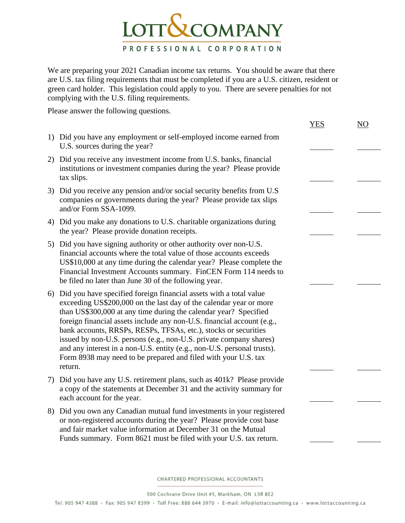

We are preparing your 2021 Canadian income tax returns. You should be aware that there are U.S. tax filing requirements that must be completed if you are a U.S. citizen, resident or green card holder. This legislation could apply to you. There are severe penalties for not complying with the U.S. filing requirements.

Please answer the following questions.

|                                                                                                                                                                                                                                                                                                                                                                                                                                                                                                                                                                                            | YES | NO |
|--------------------------------------------------------------------------------------------------------------------------------------------------------------------------------------------------------------------------------------------------------------------------------------------------------------------------------------------------------------------------------------------------------------------------------------------------------------------------------------------------------------------------------------------------------------------------------------------|-----|----|
| 1) Did you have any employment or self-employed income earned from<br>U.S. sources during the year?                                                                                                                                                                                                                                                                                                                                                                                                                                                                                        |     |    |
| 2) Did you receive any investment income from U.S. banks, financial<br>institutions or investment companies during the year? Please provide<br>tax slips.                                                                                                                                                                                                                                                                                                                                                                                                                                  |     |    |
| 3) Did you receive any pension and/or social security benefits from U.S<br>companies or governments during the year? Please provide tax slips<br>and/or Form SSA-1099.                                                                                                                                                                                                                                                                                                                                                                                                                     |     |    |
| 4) Did you make any donations to U.S. charitable organizations during<br>the year? Please provide donation receipts.                                                                                                                                                                                                                                                                                                                                                                                                                                                                       |     |    |
| 5) Did you have signing authority or other authority over non-U.S.<br>financial accounts where the total value of those accounts exceeds<br>US\$10,000 at any time during the calendar year? Please complete the<br>Financial Investment Accounts summary. FinCEN Form 114 needs to<br>be filed no later than June 30 of the following year.                                                                                                                                                                                                                                               |     |    |
| 6) Did you have specified foreign financial assets with a total value<br>exceeding US\$200,000 on the last day of the calendar year or more<br>than US\$300,000 at any time during the calendar year? Specified<br>foreign financial assets include any non-U.S. financial account (e.g.,<br>bank accounts, RRSPs, RESPs, TFSAs, etc.), stocks or securities<br>issued by non-U.S. persons (e.g., non-U.S. private company shares)<br>and any interest in a non-U.S. entity (e.g., non-U.S. personal trusts).<br>Form 8938 may need to be prepared and filed with your U.S. tax<br>return. |     |    |
| 7) Did you have any U.S. retirement plans, such as 401k? Please provide<br>a copy of the statements at December 31 and the activity summary for<br>each account for the year.                                                                                                                                                                                                                                                                                                                                                                                                              |     |    |
| 8) Did you own any Canadian mutual fund investments in your registered<br>or non-registered accounts during the year? Please provide cost base<br>and fair market value information at December 31 on the Mutual<br>Funds summary. Form 8621 must be filed with your U.S. tax return.                                                                                                                                                                                                                                                                                                      |     |    |

CHARTERED PROFESSIONAL ACCOUNTANTS